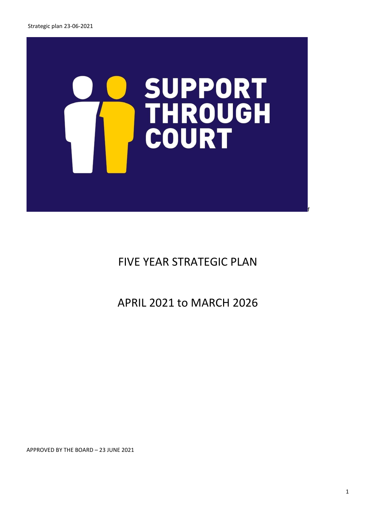

FIVE YEAR STRATEGIC PLAN

APRIL 2021 to MARCH 2026

APPROVED BY THE BOARD – 23 JUNE 2021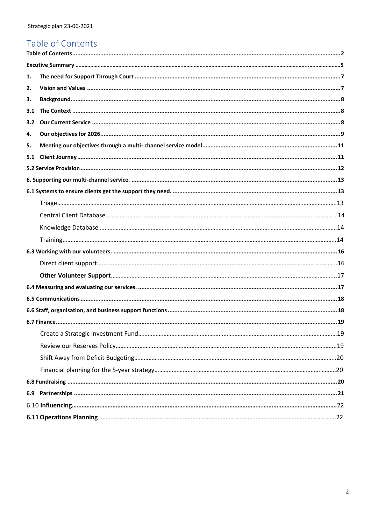# <span id="page-1-0"></span>Table of Contents

| 1.  |  |
|-----|--|
| 2.  |  |
| 3.  |  |
| 3.1 |  |
| 3.2 |  |
| 4.  |  |
| 5.  |  |
| 5.1 |  |
|     |  |
|     |  |
|     |  |
|     |  |
|     |  |
|     |  |
|     |  |
|     |  |
|     |  |
|     |  |
|     |  |
|     |  |
|     |  |
|     |  |
|     |  |
|     |  |
|     |  |
|     |  |
|     |  |
|     |  |
|     |  |
|     |  |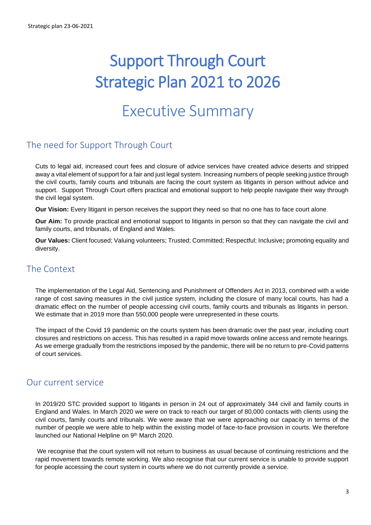# Support Through Court Strategic Plan 2021 to 2026

# Executive Summary

# <span id="page-2-0"></span>The need for Support Through Court

Cuts to legal aid, increased court fees and closure of advice services have created advice deserts and stripped away a vital element of support for a fair and just legal system. Increasing numbers of people seeking justice through the civil courts, family courts and tribunals are facing the court system as litigants in person without advice and support. Support Through Court offers practical and emotional support to help people navigate their way through the civil legal system.

**Our Vision:** Every litigant in person receives the support they need so that no one has to face court alone.

**Our Aim:** To provide practical and emotional support to litigants in person so that they can navigate the civil and family courts, and tribunals, of England and Wales.

**Our Values:** Client focused; Valuing volunteers; Trusted; Committed; Respectful; Inclusive**;** promoting equality and diversity.

### The Context

The implementation of the Legal Aid, Sentencing and Punishment of Offenders Act in 2013, combined with a wide range of cost saving measures in the civil justice system, including the closure of many local courts, has had a dramatic effect on the number of people accessing civil courts, family courts and tribunals as litigants in person. We estimate that in 2019 more than 550,000 people were unrepresented in these courts.

The impact of the Covid 19 pandemic on the courts system has been dramatic over the past year, including court closures and restrictions on access. This has resulted in a rapid move towards online access and remote hearings. As we emerge gradually from the restrictions imposed by the pandemic, there will be no return to pre-Covid patterns of court services.

### Our current service

In 2019/20 STC provided support to litigants in person in 24 out of approximately 344 civil and family courts in England and Wales. In March 2020 we were on track to reach our target of 80,000 contacts with clients using the civil courts, family courts and tribunals. We were aware that we were approaching our capacity in terms of the number of people we were able to help within the existing model of face-to-face provision in courts. We therefore launched our National Helpline on 9<sup>th</sup> March 2020.

We recognise that the court system will not return to business as usual because of continuing restrictions and the rapid movement towards remote working. We also recognise that our current service is unable to provide support for people accessing the court system in courts where we do not currently provide a service.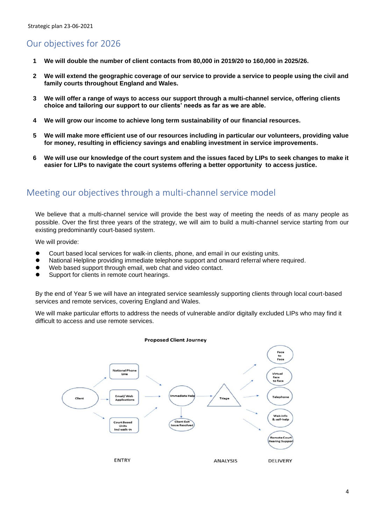# Our objectives for 2026

- **1 We will double the number of client contacts from 80,000 in 2019/20 to 160,000 in 2025/26.**
- **2 We will extend the geographic coverage of our service to provide a service to people using the civil and family courts throughout England and Wales.**
- **3 We will offer a range of ways to access our support through a multi-channel service, offering clients choice and tailoring our support to our clients' needs as far as we are able.**
- **4 We will grow our income to achieve long term sustainability of our financial resources.**
- **5 We will make more efficient use of our resources including in particular our volunteers, providing value for money, resulting in efficiency savings and enabling investment in service improvements.**
- **6 We will use our knowledge of the court system and the issues faced by LIPs to seek changes to make it easier for LIPs to navigate the court systems offering a better opportunity to access justice.**

# Meeting our objectives through a multi-channel service model

We believe that a multi-channel service will provide the best way of meeting the needs of as many people as possible. Over the first three years of the strategy, we will aim to build a multi-channel service starting from our existing predominantly court-based system.

We will provide:

- ⚫ Court based local services for walk-in clients, phone, and email in our existing units.
- ⚫ National Helpline providing immediate telephone support and onward referral where required.
- Web based support through email, web chat and video contact.
- ⚫ Support for clients in remote court hearings.

By the end of Year 5 we will have an integrated service seamlessly supporting clients through local court-based services and remote services, covering England and Wales.

We will make particular efforts to address the needs of vulnerable and/or digitally excluded LIPs who may find it difficult to access and use remote services.



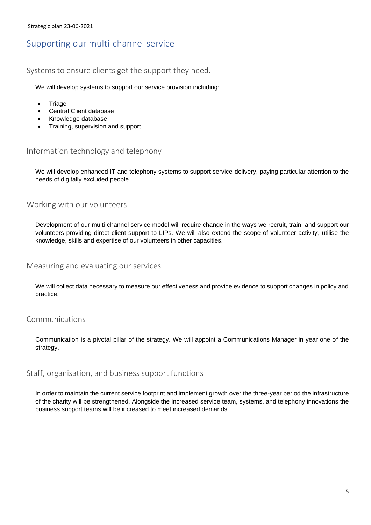### Supporting our multi-channel service

#### Systems to ensure clients get the support they need.

We will develop systems to support our service provision including:

- Triage
- Central Client database
- Knowledge database
- Training, supervision and support

#### Information technology and telephony

We will develop enhanced IT and telephony systems to support service delivery, paying particular attention to the needs of digitally excluded people.

#### Working with our volunteers

Development of our multi-channel service model will require change in the ways we recruit, train, and support our volunteers providing direct client support to LIPs. We will also extend the scope of volunteer activity, utilise the knowledge, skills and expertise of our volunteers in other capacities.

#### Measuring and evaluating our services

We will collect data necessary to measure our effectiveness and provide evidence to support changes in policy and practice.

#### Communications

Communication is a pivotal pillar of the strategy. We will appoint a Communications Manager in year one of the strategy.

#### Staff, organisation, and business support functions

In order to maintain the current service footprint and implement growth over the three-year period the infrastructure of the charity will be strengthened. Alongside the increased service team, systems, and telephony innovations the business support teams will be increased to meet increased demands.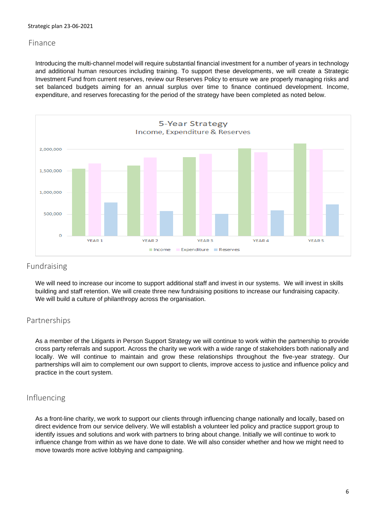#### Finance

Introducing the multi-channel model will require substantial financial investment for a number of years in technology and additional human resources including training. To support these developments, we will create a Strategic Investment Fund from current reserves, review our Reserves Policy to ensure we are properly managing risks and set balanced budgets aiming for an annual surplus over time to finance continued development. Income, expenditure, and reserves forecasting for the period of the strategy have been completed as noted below.



#### Fundraising

We will need to increase our income to support additional staff and invest in our systems. We will invest in skills building and staff retention. We will create three new fundraising positions to increase our fundraising capacity. We will build a culture of philanthropy across the organisation.

#### Partnerships

As a member of the Litigants in Person Support Strategy we will continue to work within the partnership to provide cross party referrals and support. Across the charity we work with a wide range of stakeholders both nationally and locally. We will continue to maintain and grow these relationships throughout the five-year strategy. Our partnerships will aim to complement our own support to clients, improve access to justice and influence policy and practice in the court system.

#### Influencing

As a front-line charity, we work to support our clients through influencing change nationally and locally, based on direct evidence from our service delivery. We will establish a volunteer led policy and practice support group to identify issues and solutions and work with partners to bring about change. Initially we will continue to work to influence change from within as we have done to date. We will also consider whether and how we might need to move towards more active lobbying and campaigning.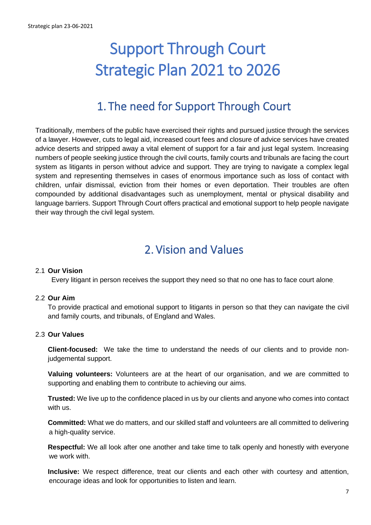# Support Through Court Strategic Plan 2021 to 2026

# 1. The need for Support Through Court

<span id="page-6-0"></span>Traditionally, members of the public have exercised their rights and pursued justice through the services of a lawyer. However, cuts to legal aid, increased court fees and closure of advice services have created advice deserts and stripped away a vital element of support for a fair and just legal system. Increasing numbers of people seeking justice through the civil courts, family courts and tribunals are facing the court system as litigants in person without advice and support. They are trying to navigate a complex legal system and representing themselves in cases of enormous importance such as loss of contact with children, unfair dismissal, eviction from their homes or even deportation. Their troubles are often compounded by additional disadvantages such as unemployment, mental or physical disability and language barriers. Support Through Court offers practical and emotional support to help people navigate their way through the civil legal system.

# 2. Vision and Values

#### <span id="page-6-1"></span>2.1 **Our Vision**

Every litigant in person receives the support they need so that no one has to face court alone.

#### 2.2 **Our Aim**

To provide practical and emotional support to litigants in person so that they can navigate the civil and family courts, and tribunals, of England and Wales.

#### 2.3 **Our Values**

**Client-focused:** We take the time to understand the needs of our clients and to provide nonjudgemental support.

**Valuing volunteers:** Volunteers are at the heart of our organisation, and we are committed to supporting and enabling them to contribute to achieving our aims.

**Trusted:** We live up to the confidence placed in us by our clients and anyone who comes into contact with us.

**Committed:** What we do matters, and our skilled staff and volunteers are all committed to delivering a high-quality service.

**Respectful:** We all look after one another and take time to talk openly and honestly with everyone we work with.

**Inclusive:** We respect difference, treat our clients and each other with courtesy and attention, encourage ideas and look for opportunities to listen and learn.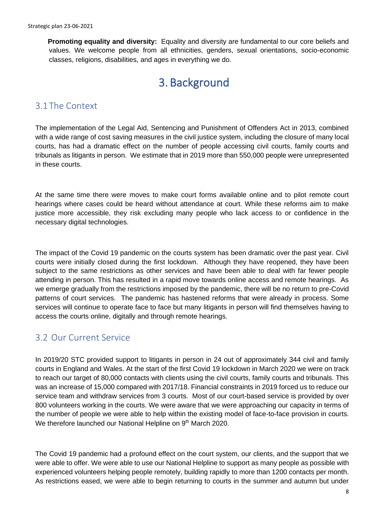**Promoting equality and diversity:** Equality and diversity are fundamental to our core beliefs and values. We welcome people from all ethnicities, genders, sexual orientations, socio-economic classes, religions, disabilities, and ages in everything we do.

# 3. Background

### <span id="page-7-1"></span><span id="page-7-0"></span>3.1The Context

The implementation of the Legal Aid, Sentencing and Punishment of Offenders Act in 2013, combined with a wide range of cost saving measures in the civil justice system, including the closure of many local courts, has had a dramatic effect on the number of people accessing civil courts, family courts and tribunals as litigants in person. We estimate that in 2019 more than 550,000 people were unrepresented in these courts.

At the same time there were moves to make court forms available online and to pilot remote court hearings where cases could be heard without attendance at court. While these reforms aim to make justice more accessible, they risk excluding many people who lack access to or confidence in the necessary digital technologies.

The impact of the Covid 19 pandemic on the courts system has been dramatic over the past year. Civil courts were initially closed during the first lockdown. Although they have reopened, they have been subject to the same restrictions as other services and have been able to deal with far fewer people attending in person. This has resulted in a rapid move towards online access and remote hearings. As we emerge gradually from the restrictions imposed by the pandemic, there will be no return to pre-Covid patterns of court services. The pandemic has hastened reforms that were already in process. Some services will continue to operate face to face but many litigants in person will find themselves having to access the courts online, digitally and through remote hearings.

# <span id="page-7-2"></span>3.2 Our Current Service

In 2019/20 STC provided support to litigants in person in 24 out of approximately 344 civil and family courts in England and Wales. At the start of the first Covid 19 lockdown in March 2020 we were on track to reach our target of 80,000 contacts with clients using the civil courts, family courts and tribunals. This was an increase of 15,000 compared with 2017/18. Financial constraints in 2019 forced us to reduce our service team and withdraw services from 3 courts. Most of our court-based service is provided by over 800 volunteers working in the courts. We were aware that we were approaching our capacity in terms of the number of people we were able to help within the existing model of face-to-face provision in courts. We therefore launched our National Helpline on 9th March 2020.

The Covid 19 pandemic had a profound effect on the court system, our clients, and the support that we were able to offer. We were able to use our National Helpline to support as many people as possible with experienced volunteers helping people remotely, building rapidly to more than 1200 contacts per month. As restrictions eased, we were able to begin returning to courts in the summer and autumn but under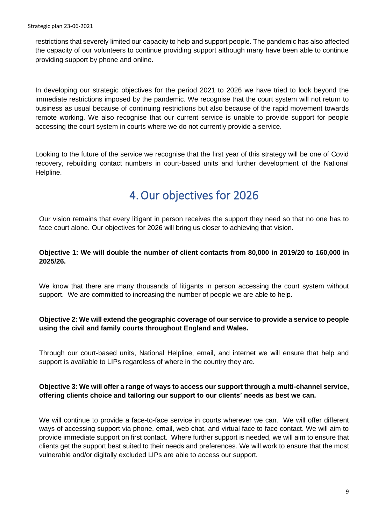restrictions that severely limited our capacity to help and support people. The pandemic has also affected the capacity of our volunteers to continue providing support although many have been able to continue providing support by phone and online.

In developing our strategic objectives for the period 2021 to 2026 we have tried to look beyond the immediate restrictions imposed by the pandemic. We recognise that the court system will not return to business as usual because of continuing restrictions but also because of the rapid movement towards remote working. We also recognise that our current service is unable to provide support for people accessing the court system in courts where we do not currently provide a service.

Looking to the future of the service we recognise that the first year of this strategy will be one of Covid recovery, rebuilding contact numbers in court-based units and further development of the National Helpline.

# 4.Our objectives for 2026

<span id="page-8-0"></span>Our vision remains that every litigant in person receives the support they need so that no one has to face court alone. Our objectives for 2026 will bring us closer to achieving that vision.

#### **Objective 1: We will double the number of client contacts from 80,000 in 2019/20 to 160,000 in 2025/26.**

We know that there are many thousands of litigants in person accessing the court system without support. We are committed to increasing the number of people we are able to help.

#### **Objective 2: We will extend the geographic coverage of our service to provide a service to people using the civil and family courts throughout England and Wales.**

Through our court-based units, National Helpline, email, and internet we will ensure that help and support is available to LIPs regardless of where in the country they are.

#### **Objective 3: We will offer a range of ways to access our support through a multi-channel service, offering clients choice and tailoring our support to our clients' needs as best we can.**

We will continue to provide a face-to-face service in courts wherever we can. We will offer different ways of accessing support via phone, email, web chat, and virtual face to face contact. We will aim to provide immediate support on first contact. Where further support is needed, we will aim to ensure that clients get the support best suited to their needs and preferences. We will work to ensure that the most vulnerable and/or digitally excluded LIPs are able to access our support.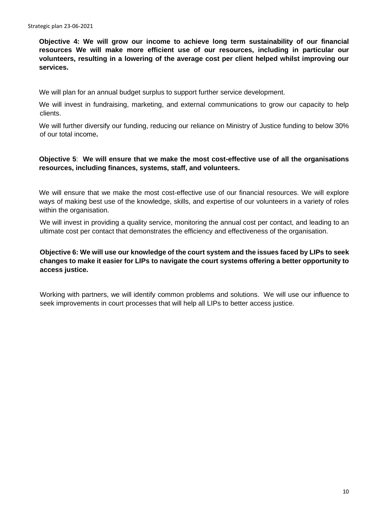**Objective 4: We will grow our income to achieve long term sustainability of our financial resources We will make more efficient use of our resources, including in particular our volunteers, resulting in a lowering of the average cost per client helped whilst improving our services.** 

We will plan for an annual budget surplus to support further service development.

We will invest in fundraising, marketing, and external communications to grow our capacity to help clients.

We will further diversify our funding, reducing our reliance on Ministry of Justice funding to below 30% of our total income**.**

#### **Objective 5**: **We will ensure that we make the most cost-effective use of all the organisations resources, including finances, systems, staff, and volunteers.**

We will ensure that we make the most cost-effective use of our financial resources. We will explore ways of making best use of the knowledge, skills, and expertise of our volunteers in a variety of roles within the organisation.

We will invest in providing a quality service, monitoring the annual cost per contact, and leading to an ultimate cost per contact that demonstrates the efficiency and effectiveness of the organisation.

#### **Objective 6: We will use our knowledge of the court system and the issues faced by LIPs to seek changes to make it easier for LIPs to navigate the court systems offering a better opportunity to access justice.**

Working with partners, we will identify common problems and solutions. We will use our influence to seek improvements in court processes that will help all LIPs to better access justice.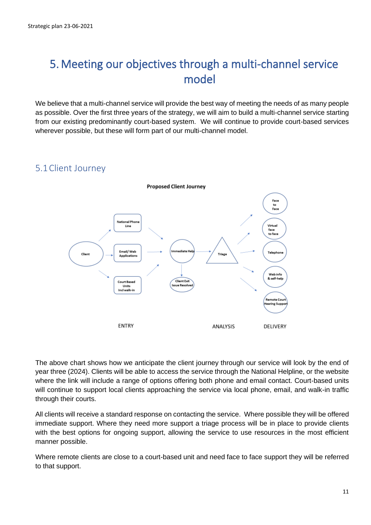# <span id="page-10-0"></span>5. Meeting our objectives through a multi-channel service model

We believe that a multi-channel service will provide the best way of meeting the needs of as many people as possible. Over the first three years of the strategy, we will aim to build a multi-channel service starting from our existing predominantly court-based system. We will continue to provide court-based services wherever possible, but these will form part of our multi-channel model.

# <span id="page-10-1"></span>5.1Client Journey



The above chart shows how we anticipate the client journey through our service will look by the end of year three (2024). Clients will be able to access the service through the National Helpline, or the website where the link will include a range of options offering both phone and email contact. Court-based units will continue to support local clients approaching the service via local phone, email, and walk-in traffic through their courts.

All clients will receive a standard response on contacting the service. Where possible they will be offered immediate support. Where they need more support a triage process will be in place to provide clients with the best options for ongoing support, allowing the service to use resources in the most efficient manner possible.

Where remote clients are close to a court-based unit and need face to face support they will be referred to that support.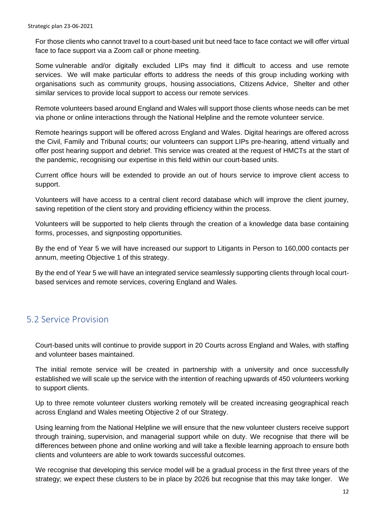For those clients who cannot travel to a court-based unit but need face to face contact we will offer virtual face to face support via a Zoom call or phone meeting.

Some vulnerable and/or digitally excluded LIPs may find it difficult to access and use remote services. We will make particular efforts to address the needs of this group including working with organisations such as community groups, housing associations, Citizens Advice, Shelter and other similar services to provide local support to access our remote services.

Remote volunteers based around England and Wales will support those clients whose needs can be met via phone or online interactions through the National Helpline and the remote volunteer service.

Remote hearings support will be offered across England and Wales. Digital hearings are offered across the Civil, Family and Tribunal courts; our volunteers can support LIPs pre-hearing, attend virtually and offer post hearing support and debrief. This service was created at the request of HMCTs at the start of the pandemic, recognising our expertise in this field within our court-based units.

Current office hours will be extended to provide an out of hours service to improve client access to support.

Volunteers will have access to a central client record database which will improve the client journey, saving repetition of the client story and providing efficiency within the process.

Volunteers will be supported to help clients through the creation of a knowledge data base containing forms, processes, and signposting opportunities.

By the end of Year 5 we will have increased our support to Litigants in Person to 160,000 contacts per annum, meeting Objective 1 of this strategy.

By the end of Year 5 we will have an integrated service seamlessly supporting clients through local courtbased services and remote services, covering England and Wales.

# <span id="page-11-0"></span>5.2 Service Provision

Court-based units will continue to provide support in 20 Courts across England and Wales, with staffing and volunteer bases maintained.

The initial remote service will be created in partnership with a university and once successfully established we will scale up the service with the intention of reaching upwards of 450 volunteers working to support clients.

Up to three remote volunteer clusters working remotely will be created increasing geographical reach across England and Wales meeting Objective 2 of our Strategy.

Using learning from the National Helpline we will ensure that the new volunteer clusters receive support through training, supervision, and managerial support while on duty. We recognise that there will be differences between phone and online working and will take a flexible learning approach to ensure both clients and volunteers are able to work towards successful outcomes.

We recognise that developing this service model will be a gradual process in the first three years of the strategy; we expect these clusters to be in place by 2026 but recognise that this may take longer. We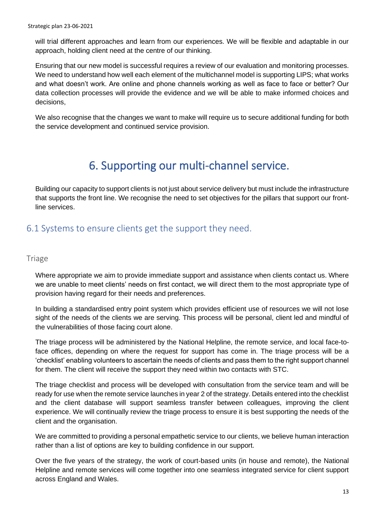will trial different approaches and learn from our experiences. We will be flexible and adaptable in our approach, holding client need at the centre of our thinking.

Ensuring that our new model is successful requires a review of our evaluation and monitoring processes. We need to understand how well each element of the multichannel model is supporting LIPS; what works and what doesn't work. Are online and phone channels working as well as face to face or better? Our data collection processes will provide the evidence and we will be able to make informed choices and decisions,

We also recognise that the changes we want to make will require us to secure additional funding for both the service development and continued service provision.

# <span id="page-12-0"></span>6. Supporting our multi-channel service.

Building our capacity to support clients is not just about service delivery but must include the infrastructure that supports the front line. We recognise the need to set objectives for the pillars that support our frontline services.

# <span id="page-12-1"></span>6.1 Systems to ensure clients get the support they need.

#### <span id="page-12-2"></span>**Triage**

Where appropriate we aim to provide immediate support and assistance when clients contact us. Where we are unable to meet clients' needs on first contact, we will direct them to the most appropriate type of provision having regard for their needs and preferences.

In building a standardised entry point system which provides efficient use of resources we will not lose sight of the needs of the clients we are serving. This process will be personal, client led and mindful of the vulnerabilities of those facing court alone.

The triage process will be administered by the National Helpline, the remote service, and local face-toface offices, depending on where the request for support has come in. The triage process will be a 'checklist' enabling volunteers to ascertain the needs of clients and pass them to the right support channel for them. The client will receive the support they need within two contacts with STC.

The triage checklist and process will be developed with consultation from the service team and will be ready for use when the remote service launches in year 2 of the strategy. Details entered into the checklist and the client database will support seamless transfer between colleagues, improving the client experience. We will continually review the triage process to ensure it is best supporting the needs of the client and the organisation.

We are committed to providing a personal empathetic service to our clients, we believe human interaction rather than a list of options are key to building confidence in our support.

Over the five years of the strategy, the work of court-based units (in house and remote), the National Helpline and remote services will come together into one seamless integrated service for client support across England and Wales.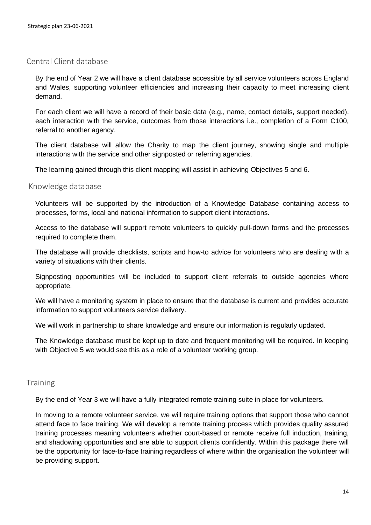#### <span id="page-13-0"></span>Central Client database

By the end of Year 2 we will have a client database accessible by all service volunteers across England and Wales, supporting volunteer efficiencies and increasing their capacity to meet increasing client demand.

For each client we will have a record of their basic data (e.g., name, contact details, support needed), each interaction with the service, outcomes from those interactions i.e., completion of a Form C100, referral to another agency.

The client database will allow the Charity to map the client journey, showing single and multiple interactions with the service and other signposted or referring agencies.

The learning gained through this client mapping will assist in achieving Objectives 5 and 6.

#### <span id="page-13-1"></span>Knowledge database

Volunteers will be supported by the introduction of a Knowledge Database containing access to processes, forms, local and national information to support client interactions.

Access to the database will support remote volunteers to quickly pull-down forms and the processes required to complete them.

The database will provide checklists, scripts and how-to advice for volunteers who are dealing with a variety of situations with their clients.

Signposting opportunities will be included to support client referrals to outside agencies where appropriate.

We will have a monitoring system in place to ensure that the database is current and provides accurate information to support volunteers service delivery.

We will work in partnership to share knowledge and ensure our information is regularly updated.

The Knowledge database must be kept up to date and frequent monitoring will be required. In keeping with Objective 5 we would see this as a role of a volunteer working group.

#### <span id="page-13-2"></span>**Training**

By the end of Year 3 we will have a fully integrated remote training suite in place for volunteers.

In moving to a remote volunteer service, we will require training options that support those who cannot attend face to face training. We will develop a remote training process which provides quality assured training processes meaning volunteers whether court-based or remote receive full induction, training, and shadowing opportunities and are able to support clients confidently. Within this package there will be the opportunity for face-to-face training regardless of where within the organisation the volunteer will be providing support.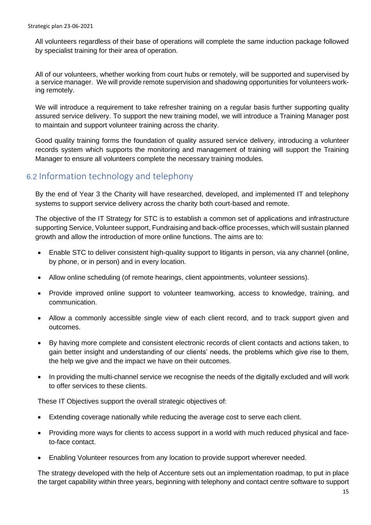All volunteers regardless of their base of operations will complete the same induction package followed by specialist training for their area of operation.

All of our volunteers, whether working from court hubs or remotely, will be supported and supervised by a service manager. We will provide remote supervision and shadowing opportunities for volunteers working remotely.

We will introduce a requirement to take refresher training on a regular basis further supporting quality assured service delivery. To support the new training model, we will introduce a Training Manager post to maintain and support volunteer training across the charity.

Good quality training forms the foundation of quality assured service delivery, introducing a volunteer records system which supports the monitoring and management of training will support the Training Manager to ensure all volunteers complete the necessary training modules.

# 6.2 Information technology and telephony

By the end of Year 3 the Charity will have researched, developed, and implemented IT and telephony systems to support service delivery across the charity both court-based and remote.

The objective of the IT Strategy for STC is to establish a common set of applications and infrastructure supporting Service, Volunteer support, Fundraising and back-office processes, which will sustain planned growth and allow the introduction of more online functions. The aims are to:

- Enable STC to deliver consistent high-quality support to litigants in person, via any channel (online, by phone, or in person) and in every location.
- Allow online scheduling (of remote hearings, client appointments, volunteer sessions).
- Provide improved online support to volunteer teamworking, access to knowledge, training, and communication.
- Allow a commonly accessible single view of each client record, and to track support given and outcomes.
- By having more complete and consistent electronic records of client contacts and actions taken, to gain better insight and understanding of our clients' needs, the problems which give rise to them, the help we give and the impact we have on their outcomes.
- In providing the multi-channel service we recognise the needs of the digitally excluded and will work to offer services to these clients.

These IT Objectives support the overall strategic objectives of:

- Extending coverage nationally while reducing the average cost to serve each client.
- Providing more ways for clients to access support in a world with much reduced physical and faceto-face contact.
- Enabling Volunteer resources from any location to provide support wherever needed.

The strategy developed with the help of Accenture sets out an implementation roadmap, to put in place the target capability within three years, beginning with telephony and contact centre software to support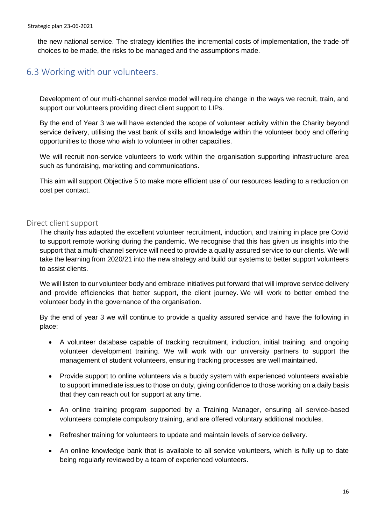the new national service. The strategy identifies the incremental costs of implementation, the trade-off choices to be made, the risks to be managed and the assumptions made.

# <span id="page-15-0"></span>6.3 Working with our volunteers.

Development of our multi-channel service model will require change in the ways we recruit, train, and support our volunteers providing direct client support to LIPs.

By the end of Year 3 we will have extended the scope of volunteer activity within the Charity beyond service delivery, utilising the vast bank of skills and knowledge within the volunteer body and offering opportunities to those who wish to volunteer in other capacities.

We will recruit non-service volunteers to work within the organisation supporting infrastructure area such as fundraising, marketing and communications.

This aim will support Objective 5 to make more efficient use of our resources leading to a reduction on cost per contact.

#### <span id="page-15-1"></span>Direct client support

The charity has adapted the excellent volunteer recruitment, induction, and training in place pre Covid to support remote working during the pandemic. We recognise that this has given us insights into the support that a multi-channel service will need to provide a quality assured service to our clients. We will take the learning from 2020/21 into the new strategy and build our systems to better support volunteers to assist clients.

We will listen to our volunteer body and embrace initiatives put forward that will improve service delivery and provide efficiencies that better support, the client journey. We will work to better embed the volunteer body in the governance of the organisation.

By the end of year 3 we will continue to provide a quality assured service and have the following in place:

- A volunteer database capable of tracking recruitment, induction, initial training, and ongoing volunteer development training. We will work with our university partners to support the management of student volunteers, ensuring tracking processes are well maintained.
- Provide support to online volunteers via a buddy system with experienced volunteers available to support immediate issues to those on duty, giving confidence to those working on a daily basis that they can reach out for support at any time*.*
- An online training program supported by a Training Manager, ensuring all service-based volunteers complete compulsory training, and are offered voluntary additional modules.
- Refresher training for volunteers to update and maintain levels of service delivery.
- An online knowledge bank that is available to all service volunteers, which is fully up to date being regularly reviewed by a team of experienced volunteers.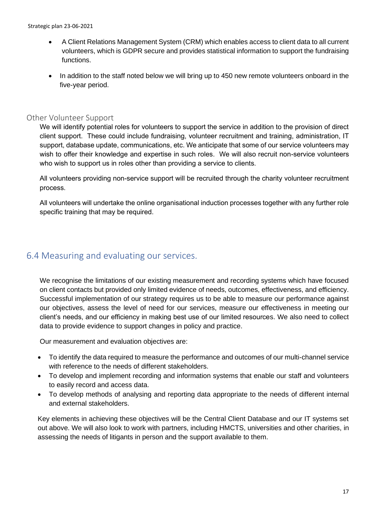- A Client Relations Management System (CRM) which enables access to client data to all current volunteers, which is GDPR secure and provides statistical information to support the fundraising functions.
- In addition to the staff noted below we will bring up to 450 new remote volunteers onboard in the five-year period.

#### <span id="page-16-0"></span>Other Volunteer Support

We will identify potential roles for volunteers to support the service in addition to the provision of direct client support. These could include fundraising, volunteer recruitment and training, administration, IT support, database update, communications, etc. We anticipate that some of our service volunteers may wish to offer their knowledge and expertise in such roles. We will also recruit non-service volunteers who wish to support us in roles other than providing a service to clients.

All volunteers providing non-service support will be recruited through the charity volunteer recruitment process.

All volunteers will undertake the online organisational induction processes together with any further role specific training that may be required.

### <span id="page-16-1"></span>6.4 Measuring and evaluating our services.

We recognise the limitations of our existing measurement and recording systems which have focused on client contacts but provided only limited evidence of needs, outcomes, effectiveness, and efficiency. Successful implementation of our strategy requires us to be able to measure our performance against our objectives, assess the level of need for our services, measure our effectiveness in meeting our client's needs, and our efficiency in making best use of our limited resources. We also need to collect data to provide evidence to support changes in policy and practice.

Our measurement and evaluation objectives are:

- To identify the data required to measure the performance and outcomes of our multi-channel service with reference to the needs of different stakeholders.
- To develop and implement recording and information systems that enable our staff and volunteers to easily record and access data.
- To develop methods of analysing and reporting data appropriate to the needs of different internal and external stakeholders.

Key elements in achieving these objectives will be the Central Client Database and our IT systems set out above. We will also look to work with partners, including HMCTS, universities and other charities, in assessing the needs of litigants in person and the support available to them.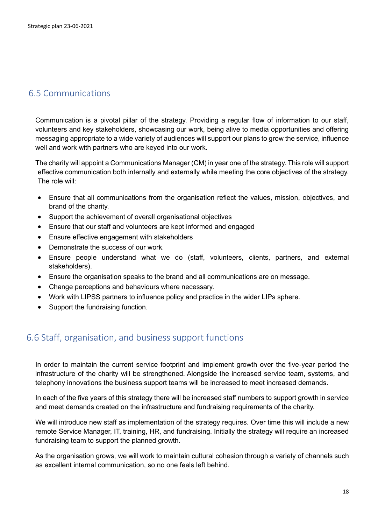# <span id="page-17-0"></span>6.5 Communications

Communication is a pivotal pillar of the strategy. Providing a regular flow of information to our staff, volunteers and key stakeholders, showcasing our work, being alive to media opportunities and offering messaging appropriate to a wide variety of audiences will support our plans to grow the service, influence well and work with partners who are keyed into our work.

The charity will appoint a Communications Manager (CM) in year one of the strategy. This role will support effective communication both internally and externally while meeting the core objectives of the strategy. The role will:

- Ensure that all communications from the organisation reflect the values, mission, objectives, and brand of the charity.
- Support the achievement of overall organisational objectives
- Ensure that our staff and volunteers are kept informed and engaged
- Ensure effective engagement with stakeholders
- Demonstrate the success of our work.
- Ensure people understand what we do (staff, volunteers, clients, partners, and external stakeholders).
- Ensure the organisation speaks to the brand and all communications are on message.
- Change perceptions and behaviours where necessary.
- Work with LIPSS partners to influence policy and practice in the wider LIPs sphere.
- Support the fundraising function.

### <span id="page-17-1"></span>6.6 Staff, organisation, and business support functions

In order to maintain the current service footprint and implement growth over the five-year period the infrastructure of the charity will be strengthened. Alongside the increased service team, systems, and telephony innovations the business support teams will be increased to meet increased demands.

In each of the five years of this strategy there will be increased staff numbers to support growth in service and meet demands created on the infrastructure and fundraising requirements of the charity.

We will introduce new staff as implementation of the strategy requires. Over time this will include a new remote Service Manager, IT, training, HR, and fundraising. Initially the strategy will require an increased fundraising team to support the planned growth.

As the organisation grows, we will work to maintain cultural cohesion through a variety of channels such as excellent internal communication, so no one feels left behind.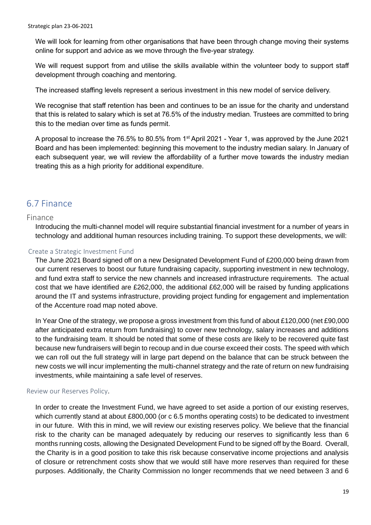We will look for learning from other organisations that have been through change moving their systems online for support and advice as we move through the five-year strategy.

We will request support from and utilise the skills available within the volunteer body to support staff development through coaching and mentoring.

The increased staffing levels represent a serious investment in this new model of service delivery.

We recognise that staff retention has been and continues to be an issue for the charity and understand that this is related to salary which is set at 76.5% of the industry median. Trustees are committed to bring this to the median over time as funds permit.

A proposal to increase the 76.5% to 80.5% from 1st April 2021 - Year 1, was approved by the June 2021 Board and has been implemented: beginning this movement to the industry median salary. In January of each subsequent year, we will review the affordability of a further move towards the industry median treating this as a high priority for additional expenditure.

# <span id="page-18-0"></span>6.7 Finance

#### Finance

Introducing the multi-channel model will require substantial financial investment for a number of years in technology and additional human resources including training. To support these developments, we will:

#### <span id="page-18-1"></span>Create a Strategic Investment Fund

The June 2021 Board signed off on a new Designated Development Fund of £200,000 being drawn from our current reserves to boost our future fundraising capacity, supporting investment in new technology, and fund extra staff to service the new channels and increased infrastructure requirements. The actual cost that we have identified are £262,000, the additional £62,000 will be raised by funding applications around the IT and systems infrastructure, providing project funding for engagement and implementation of the Accenture road map noted above.

In Year One of the strategy, we propose a gross investment from this fund of about £120,000 (net £90,000 after anticipated extra return from fundraising) to cover new technology, salary increases and additions to the fundraising team. It should be noted that some of these costs are likely to be recovered quite fast because new fundraisers will begin to recoup and in due course exceed their costs. The speed with which we can roll out the full strategy will in large part depend on the balance that can be struck between the new costs we will incur implementing the multi-channel strategy and the rate of return on new fundraising investments, while maintaining a safe level of reserves.

#### <span id="page-18-2"></span>Review our Reserves Policy.

In order to create the Investment Fund, we have agreed to set aside a portion of our existing reserves, which currently stand at about £800,000 (or c 6.5 months operating costs) to be dedicated to investment in our future. With this in mind, we will review our existing reserves policy. We believe that the financial risk to the charity can be managed adequately by reducing our reserves to significantly less than 6 months running costs, allowing the Designated Development Fund to be signed off by the Board. Overall, the Charity is in a good position to take this risk because conservative income projections and analysis of closure or retrenchment costs show that we would still have more reserves than required for these purposes. Additionally, the Charity Commission no longer recommends that we need between 3 and 6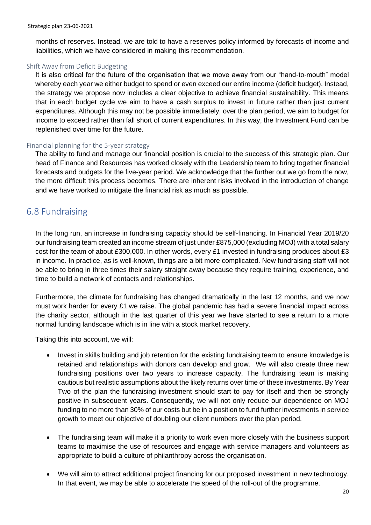months of reserves. Instead, we are told to have a reserves policy informed by forecasts of income and liabilities, which we have considered in making this recommendation.

#### <span id="page-19-0"></span>Shift Away from Deficit Budgeting

It is also critical for the future of the organisation that we move away from our "hand-to-mouth" model whereby each year we either budget to spend or even exceed our entire income (deficit budget). Instead, the strategy we propose now includes a clear objective to achieve financial sustainability. This means that in each budget cycle we aim to have a cash surplus to invest in future rather than just current expenditures. Although this may not be possible immediately, over the plan period, we aim to budget for income to exceed rather than fall short of current expenditures. In this way, the Investment Fund can be replenished over time for the future.

#### <span id="page-19-1"></span>Financial planning for the 5-year strategy

The ability to fund and manage our financial position is crucial to the success of this strategic plan. Our head of Finance and Resources has worked closely with the Leadership team to bring together financial forecasts and budgets for the five-year period. We acknowledge that the further out we go from the now, the more difficult this process becomes. There are inherent risks involved in the introduction of change and we have worked to mitigate the financial risk as much as possible.

### <span id="page-19-2"></span>6.8 Fundraising

In the long run, an increase in fundraising capacity should be self-financing. In Financial Year 2019/20 our fundraising team created an income stream of just under £875,000 (excluding MOJ) with a total salary cost for the team of about £300,000. In other words, every £1 invested in fundraising produces about £3 in income. In practice, as is well-known, things are a bit more complicated. New fundraising staff will not be able to bring in three times their salary straight away because they require training, experience, and time to build a network of contacts and relationships.

Furthermore, the climate for fundraising has changed dramatically in the last 12 months, and we now must work harder for every £1 we raise. The global pandemic has had a severe financial impact across the charity sector, although in the last quarter of this year we have started to see a return to a more normal funding landscape which is in line with a stock market recovery.

Taking this into account, we will:

- Invest in skills building and job retention for the existing fundraising team to ensure knowledge is retained and relationships with donors can develop and grow. We will also create three new fundraising positions over two years to increase capacity. The fundraising team is making cautious but realistic assumptions about the likely returns over time of these investments. By Year Two of the plan the fundraising investment should start to pay for itself and then be strongly positive in subsequent years. Consequently, we will not only reduce our dependence on MOJ funding to no more than 30% of our costs but be in a position to fund further investments in service growth to meet our objective of doubling our client numbers over the plan period.
- The fundraising team will make it a priority to work even more closely with the business support teams to maximise the use of resources and engage with service managers and volunteers as appropriate to build a culture of philanthropy across the organisation.
- We will aim to attract additional project financing for our proposed investment in new technology. In that event, we may be able to accelerate the speed of the roll-out of the programme.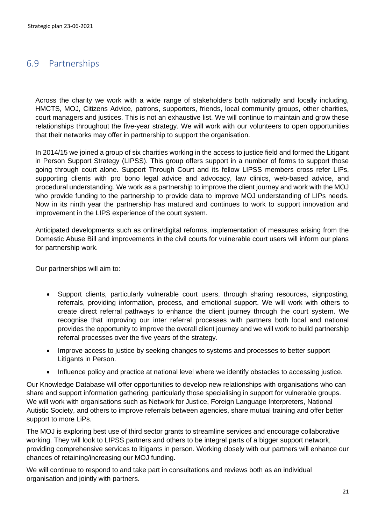# <span id="page-20-0"></span>6.9 Partnerships

Across the charity we work with a wide range of stakeholders both nationally and locally including, HMCTS, MOJ, Citizens Advice, patrons, supporters, friends, local community groups, other charities, court managers and justices. This is not an exhaustive list. We will continue to maintain and grow these relationships throughout the five-year strategy. We will work with our volunteers to open opportunities that their networks may offer in partnership to support the organisation.

In 2014/15 we joined a group of six charities working in the access to justice field and formed the Litigant in Person Support Strategy (LIPSS). This group offers support in a number of forms to support those going through court alone. Support Through Court and its fellow LIPSS members cross refer LIPs, supporting clients with pro bono legal advice and advocacy, law clinics, web-based advice, and procedural understanding. We work as a partnership to improve the client journey and work with the MOJ who provide funding to the partnership to provide data to improve MOJ understanding of LIPs needs. Now in its ninth year the partnership has matured and continues to work to support innovation and improvement in the LIPS experience of the court system.

Anticipated developments such as online/digital reforms, implementation of measures arising from the Domestic Abuse Bill and improvements in the civil courts for vulnerable court users will inform our plans for partnership work.

Our partnerships will aim to:

- Support clients, particularly vulnerable court users, through sharing resources, signposting, referrals, providing information, process, and emotional support. We will work with others to create direct referral pathways to enhance the client journey through the court system. We recognise that improving our inter referral processes with partners both local and national provides the opportunity to improve the overall client journey and we will work to build partnership referral processes over the five years of the strategy.
- Improve access to justice by seeking changes to systems and processes to better support Litigants in Person.
- Influence policy and practice at national level where we identify obstacles to accessing justice.

Our Knowledge Database will offer opportunities to develop new relationships with organisations who can share and support information gathering, particularly those specialising in support for vulnerable groups. We will work with organisations such as Network for Justice, Foreign Language Interpreters, National Autistic Society, and others to improve referrals between agencies, share mutual training and offer better support to more LiPs.

The MOJ is exploring best use of third sector grants to streamline services and encourage collaborative working. They will look to LIPSS partners and others to be integral parts of a bigger support network, providing comprehensive services to litigants in person. Working closely with our partners will enhance our chances of retaining/increasing our MOJ funding.

We will continue to respond to and take part in consultations and reviews both as an individual organisation and jointly with partners.